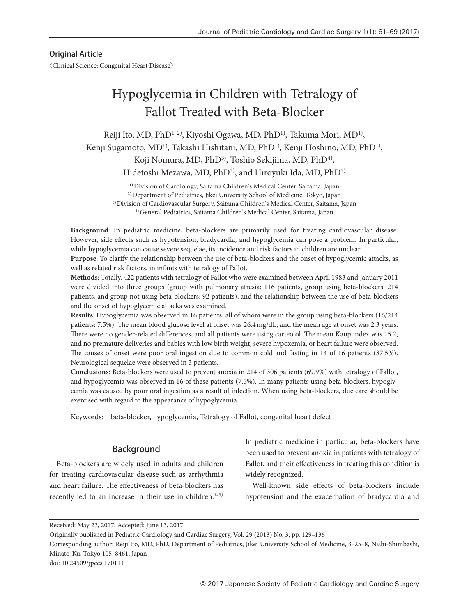# Original Article

〈Clinical Science: Congenital Heart Disease〉

# Hypoglycemia in Children with Tetralogy of Fallot Treated with Beta-Blocker

Reiji Ito, MD, PhD<sup>1, 2)</sup>, Kiyoshi Ogawa, MD, PhD<sup>1)</sup>, Takuma Mori, MD<sup>1)</sup>, Kenji Sugamoto, MD<sup>1)</sup>, Takashi Hishitani, MD, PhD<sup>1)</sup>, Kenji Hoshino, MD, PhD<sup>1)</sup>, Koji Nomura, MD, PhD<sup>3)</sup>, Toshio Sekijima, MD, PhD<sup>4)</sup>, Hidetoshi Mezawa, MD, PhD<sup>2)</sup>, and Hiroyuki Ida, MD, PhD<sup>2)</sup>

1) Division of Cardiology, Saitama Children's Medical Center, Saitama, Japan <sup>2)</sup> Department of Pediatrics, Jikei University School of Medicine, Tokyo, Japan 3) Division of Cardiovascular Surgery, Saitama Children's Medical Center, Saitama, Japan 4) General Pediatrics, Saitama Children's Medical Center, Saitama, Japan

**Background**: In pediatric medicine, beta-blockers are primarily used for treating cardiovascular disease. However, side effects such as hypotension, bradycardia, and hypoglycemia can pose a problem. In particular, while hypoglycemia can cause severe sequelae, its incidence and risk factors in children are unclear. **Purpose**: To clarify the relationship between the use of beta-blockers and the onset of hypoglycemic attacks, as well as related risk factors, in infants with tetralogy of Fallot.

**Methods**: Totally, 422 patients with tetralogy of Fallot who were examined between April 1983 and January 2011 were divided into three groups (group with pulmonary atresia: 116 patients, group using beta-blockers: 214 patients, and group not using beta-blockers: 92 patients), and the relationship between the use of beta-blockers and the onset of hypoglycemic attacks was examined.

**Results**: Hypoglycemia was observed in 16 patients, all of whom were in the group using beta-blockers (16/214 patients: 7.5%). The mean blood glucose level at onset was 26.4 mg/dL, and the mean age at onset was 2.3 years. There were no gender-related differences, and all patients were using carteolol. The mean Kaup index was 15.2, and no premature deliveries and babies with low birth weight, severe hypoxemia, or heart failure were observed. The causes of onset were poor oral ingestion due to common cold and fasting in 14 of 16 patients (87.5%). Neurological sequelae were observed in 3 patients.

**Conclusions**: Beta-blockers were used to prevent anoxia in 214 of 306 patients (69.9%) with tetralogy of Fallot, and hypoglycemia was observed in 16 of these patients (7.5%). In many patients using beta-blockers, hypoglycemia was caused by poor oral ingestion as a result of infection. When using beta-blockers, due care should be exercised with regard to the appearance of hypoglycemia.

Keywords: beta-blocker, hypoglycemia, Tetralogy of Fallot, congenital heart defect

# Background

Beta-blockers are widely used in adults and children for treating cardiovascular disease such as arrhythmia and heart failure. The effectiveness of beta-blockers has recently led to an increase in their use in children.<sup>1-3)</sup>

In pediatric medicine in particular, beta-blockers have been used to prevent anoxia in patients with tetralogy of Fallot, and their effectiveness in treating this condition is widely recognized.

Well-known side effects of beta-blockers include hypotension and the exacerbation of bradycardia and

Received: May 23, 2017; Accepted: June 13, 2017

Originally published in Pediatric Cardiology and Cardiac Surgery, Vol. 29 (2013) No. 3, pp. 129-136

Corresponding author: Reiji Ito, MD, PhD, Department of Pediatrics, Jikei University School of Medicine, 3‒25‒8, Nishi-Shimbashi, Minato-Ku, Tokyo 105-8461, Japan

doi: 10.24509/jpccs.170111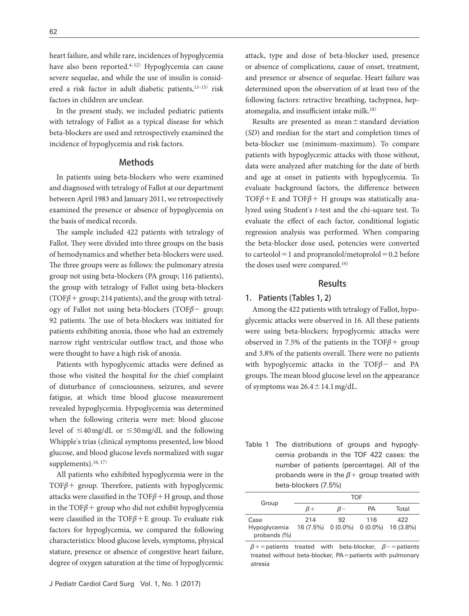heart failure, and while rare, incidences of hypoglycemia have also been reported.<sup>4-12)</sup> Hypoglycemia can cause severe sequelae, and while the use of insulin is considered a risk factor in adult diabetic patients,<sup>13-15)</sup> risk factors in children are unclear.

In the present study, we included pediatric patients with tetralogy of Fallot as a typical disease for which beta-blockers are used and retrospectively examined the incidence of hypoglycemia and risk factors.

#### Methods

In patients using beta-blockers who were examined and diagnosed with tetralogy of Fallot at our department between April 1983 and January 2011, we retrospectively examined the presence or absence of hypoglycemia on the basis of medical records.

The sample included 422 patients with tetralogy of Fallot. They were divided into three groups on the basis of hemodynamics and whether beta-blockers were used. The three groups were as follows: the pulmonary atresia group not using beta-blockers (PA group; 116 patients), the group with tetralogy of Fallot using beta-blockers (TOF $\beta$  + group; 214 patients), and the group with tetralogy of Fallot not using beta-blockers (TOF*β*− group; 92 patients. The use of beta-blockers was initiated for patients exhibiting anoxia, those who had an extremely narrow right ventricular outflow tract, and those who were thought to have a high risk of anoxia.

Patients with hypoglycemic attacks were defined as those who visited the hospital for the chief complaint of disturbance of consciousness, seizures, and severe fatigue, at which time blood glucose measurement revealed hypoglycemia. Hypoglycemia was determined when the following criteria were met: blood glucose level of  $\leq$ 40 mg/dL or  $\leq$ 50 mg/dL and the following Whipple's trias (clinical symptoms presented, low blood glucose, and blood glucose levels normalized with sugar supplements). $16, 17$ 

All patients who exhibited hypoglycemia were in the TOF*β*+ group. Therefore, patients with hypoglycemic attacks were classified in the TOF*β*+H group, and those in the  $TOF\beta$  + group who did not exhibit hypoglycemia were classified in the TOF*β*+E group. To evaluate risk factors for hypoglycemia, we compared the following characteristics: blood glucose levels, symptoms, physical stature, presence or absence of congestive heart failure, degree of oxygen saturation at the time of hypoglycemic attack, type and dose of beta-blocker used, presence or absence of complications, cause of onset, treatment, and presence or absence of sequelae. Heart failure was determined upon the observation of at least two of the following factors: retractive breathing, tachypnea, hepatomegalia, and insufficient intake milk.18)

Results are presented as mean±standard deviation (*SD*) and median for the start and completion times of beta-blocker use (minimum-maximum). To compare patients with hypoglycemic attacks with those without, data were analyzed after matching for the date of birth and age at onset in patients with hypoglycemia. To evaluate background factors, the difference between TOF $\beta$ +E and TOF $\beta$ + H groups was statistically analyzed using Student's *t*-test and the chi-square test. To evaluate the effect of each factor, conditional logistic regression analysis was performed. When comparing the beta-blocker dose used, potencies were converted to carteolol  $=1$  and propranolol/metoprolol  $=0.2$  before the doses used were compared.19)

#### Results

#### 1. Patients (Tables 1, 2)

Among the 422 patients with tetralogy of Fallot, hypoglycemic attacks were observed in 16. All these patients were using beta-blockers; hypoglycemic attacks were observed in 7.5% of the patients in the TOF*β*+ group and 3.8% of the patients overall. There were no patients with hypoglycemic attacks in the TOF*β*− and PA groups. The mean blood glucose level on the appearance of symptoms was  $26.4 \pm 14.1$  mg/dL.

| Table 1 The distributions of groups and hypogly-  |
|---------------------------------------------------|
| cemia probands in the TOF 422 cases: the          |
| number of patients (percentage). All of the       |
| probands were in the $\beta$ + group treated with |
| beta-blockers (7.5%)                              |

|                              | TOF |       |     |                                       |  |  |  |  |
|------------------------------|-----|-------|-----|---------------------------------------|--|--|--|--|
| Group                        | ß+  | $B -$ | PА  | Total                                 |  |  |  |  |
| Case                         | 214 | 92    | 116 | 422                                   |  |  |  |  |
| Hypoglycemia<br>probands (%) |     |       |     | 16 (7.5%) 0 (0.0%) 0 (0.0%) 16 (3.8%) |  |  |  |  |

*β*+=patients treated with beta-blocker, *β*−=patients treated without beta-blocker, PA=patients with pulmonary atresia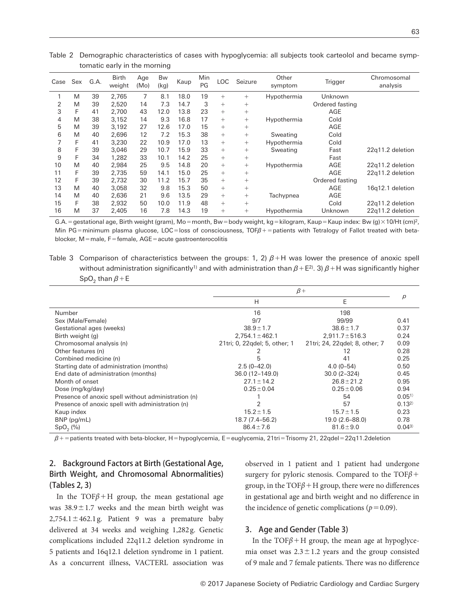|      |     |      |                        |             | ັ          |      |           |        |         |                  |                 |                         |
|------|-----|------|------------------------|-------------|------------|------|-----------|--------|---------|------------------|-----------------|-------------------------|
| Case | Sex | G.A. | <b>Birth</b><br>weight | Age<br>(Mo) | Bw<br>(kq) | Kaup | Min<br>PG | LOC    | Seizure | Other<br>symptom | Trigger         | Chromosomal<br>analysis |
|      | M   | 39   | 2,765                  | 7           | 8.1        | 18.0 | 19        | $^{+}$ | $+$     | Hypothermia      | Unknown         |                         |
| 2    | M   | 39   | 2.520                  | 14          | 7.3        | 14.7 | 3         | $+$    | $^{+}$  |                  | Ordered fasting |                         |
| 3    | F   | 41   | 2.700                  | 43          | 12.0       | 13.8 | 23        | $^{+}$ | $^{+}$  |                  | AGE             |                         |
| 4    | M   | 38   | 3.152                  | 14          | 9.3        | 16.8 | 17        | $^{+}$ | $+$     | Hypothermia      | Cold            |                         |
| 5    | M   | 39   | 3.192                  | 27          | 12.6       | 17.0 | 15        | $^{+}$ | $^{+}$  |                  | AGE             |                         |
| 6    | M   | 40   | 2.696                  | 12          | 7.2        | 15.3 | 38        | $^{+}$ | $+$     | Sweating         | Cold            |                         |
|      | F   | 41   | 3.230                  | 22          | 10.9       | 17.0 | 13        | $^{+}$ | $+$     | Hypothermia      | Cold            |                         |
| 8    |     | 39   | 3.046                  | 29          | 10.7       | 15.9 | 33        | $^{+}$ | $+$     | Sweating         | Fast            | 22q11.2 deletion        |
| 9    | F   | 34   | 1.282                  | 33          | 10.1       | 14.2 | 25        | $^{+}$ | $+$     |                  | Fast            |                         |
| 10   | M   | 40   | 2.984                  | 25          | 9.5        | 14.8 | 20        | $^{+}$ | $+$     | Hypothermia      | AGE             | 22q11.2 deletion        |
| 11   | F   | 39   | 2.735                  | 59          | 14.1       | 15.0 | 25        | $^{+}$ | $^{+}$  | AGE              |                 | 22q11.2 deletion        |
| 12   | F   | 39   | 2.732                  | 30          | 11.2       | 15.7 | 35        | $^{+}$ | $^{+}$  |                  | Ordered fasting |                         |
| 13   | M   | 40   | 3.058                  | 32          | 9.8        | 15.3 | 50        | $^{+}$ | $^{+}$  |                  | AGE             | 16q12.1 deletion        |
| 14   | M   | 40   | 2.636                  | 21          | 9.6        | 13.5 | 29        | $^{+}$ | $^{+}$  | Tachypnea        | AGE             |                         |
| 15   | F   | 38   | 2.932                  | 50          | 10.0       | 11.9 | 48        | $^{+}$ | $^{+}$  |                  | Cold            | 22q11.2 deletion        |
| 16   | M   | 37   | 2.405                  | 16          | 7.8        | 14.3 | 19        | $^{+}$ | $^{+}$  | Hypothermia      | Unknown         | 22q11.2 deletion        |

Table 2 Demographic characteristics of cases with hypoglycemia: all subjects took carteolol and became symptomatic early in the morning

G.A. = gestational age, Birth weight (gram), Mo=month, Bw=body weight, kg=kilogram, Kaup=Kaup index: Bw (g)×10/Ht (cm)<sup>2</sup>, Min PG=minimum plasma glucose, LOC=loss of consciousness, TOF*β*+=patients with Tetralogy of Fallot treated with betablocker, M=male, F=female, AGE=acute gastroenterocolitis

Table 3 Comparison of characteristics between the groups: 1, 2) *β*+H was lower the presence of anoxic spell without administration significantly<sup>1)</sup> and with administration than  $\beta + E^{2}$ . 3)  $\beta + H$  was significantly higher SpO<sub>2</sub> than  $β + E$ 

|                                                     | $\beta +$                     |                                |            |  |
|-----------------------------------------------------|-------------------------------|--------------------------------|------------|--|
|                                                     | H                             | E                              | D          |  |
| Number                                              | 16                            | 198                            |            |  |
| Sex (Male/Female)                                   | 9/7                           | 99/99                          | 0.41       |  |
| Gestational ages (weeks)                            | $38.9 \pm 1.7$                | $38.6 \pm 1.7$                 | 0.37       |  |
| Birth weight (g)                                    | $2,754.1 \pm 462.1$           | $2,911.7 \pm 516.3$            | 0.24       |  |
| Chromosomal analysis (n)                            | 21tri; 0, 22qdel; 5, other; 1 | 21tri; 24, 22qdel; 8, other; 7 | 0.09       |  |
| Other features (n)                                  | 2                             | 12                             | 0.28       |  |
| Combined medicine (n)                               | 5                             | 41                             | 0.25       |  |
| Starting date of administration (months)            | $2.5(0-42.0)$                 | $4.0(0-54)$                    | 0.50       |  |
| End date of administration (months)                 | 36.0 (12-149.0)               | $30.0(2 - 324)$                | 0.45       |  |
| Month of onset                                      | $27.1 \pm 14.2$               | $26.8 \pm 21.2$                | 0.95       |  |
| Dose (mg/kg/day)                                    | $0.25 \pm 0.04$               | $0.25 \pm 0.06$                | 0.94       |  |
| Presence of anoxic spell without administration (n) |                               | 54                             | $0.05^{1}$ |  |
| Presence of anoxic spell with administration (n)    | 2                             | 57                             | $0.13^{2}$ |  |
| Kaup index                                          | $15.2 \pm 1.5$                | $15.7 \pm 1.5$                 | 0.23       |  |
| BNP (pg/mL)                                         | 18.7 (7.4-56.2)               | 19.0 (2.6-88.0)                | 0.78       |  |
| $SpO2(\%)$                                          | $86.4 \pm 7.6$                | $81.6 \pm 9.0$                 | $0.04^{3}$ |  |

 $β$  + = patients treated with beta-blocker, H = hypoglycemia, E = euglycemia, 21tri = Trisomy 21, 22qdel = 22q11.2deletion

# 2. Background Factors at Birth (Gestational Age, Birth Weight, and Chromosomal Abnormalities) (Tables 2, 3)

In the TOF $\beta$ +H group, the mean gestational age was  $38.9 \pm 1.7$  weeks and the mean birth weight was  $2,754.1 \pm 462.1$  g. Patient 9 was a premature baby delivered at 34 weeks and weighing 1,282 g. Genetic complications included 22q11.2 deletion syndrome in 5 patients and 16q12.1 deletion syndrome in 1 patient. As a concurrent illness, VACTERL association was observed in 1 patient and 1 patient had undergone surgery for pyloric stenosis. Compared to the TOF*β*+ group, in the  $TOF\beta + H$  group, there were no differences in gestational age and birth weight and no difference in the incidence of genetic complications ( $p = 0.09$ ).

# 3. Age and Gender (Table 3)

In the TOF $\beta$ +H group, the mean age at hypoglycemia onset was  $2.3 \pm 1.2$  years and the group consisted of 9 male and 7 female patients. There was no difference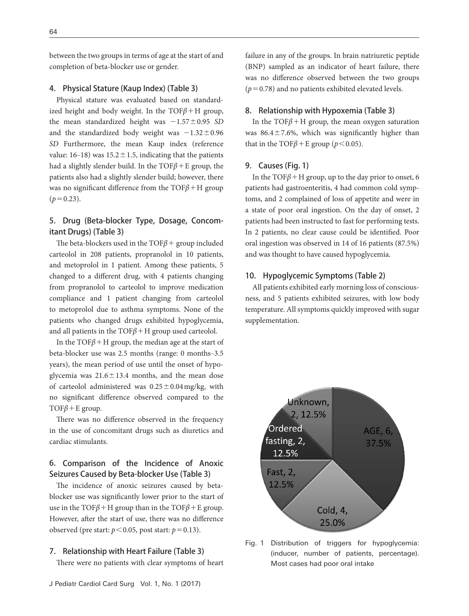between the two groups in terms of age at the start of and completion of beta-blocker use or gender.

#### 4. Physical Stature (Kaup Index) (Table 3)

Physical stature was evaluated based on standardized height and body weight. In the  $TOF\beta + H$  group, the mean standardized height was −1.57±0.95 *SD* and the standardized body weight was  $-1.32 \pm 0.96$ *SD* Furthermore, the mean Kaup index (reference value:  $16-18$ ) was  $15.2 \pm 1.5$ , indicating that the patients had a slightly slender build. In the TOF*β*+E group, the patients also had a slightly slender build; however, there was no significant difference from the TOF*β*+H group  $(p=0.23)$ .

# 5. Drug (Beta-blocker Type, Dosage, Concomitant Drugs) (Table 3)

The beta-blockers used in the TOF*β*+ group included carteolol in 208 patients, propranolol in 10 patients, and metoprolol in 1 patient. Among these patients, 5 changed to a different drug, with 4 patients changing from propranolol to carteolol to improve medication compliance and 1 patient changing from carteolol to metoprolol due to asthma symptoms. None of the patients who changed drugs exhibited hypoglycemia, and all patients in the TOF*β*+H group used carteolol.

In the TOF $\beta$ +H group, the median age at the start of beta-blocker use was 2.5 months (range: 0 months-3.5 years), the mean period of use until the onset of hypoglycemia was  $21.6 \pm 13.4$  months, and the mean dose of carteolol administered was  $0.25 \pm 0.04$  mg/kg, with no significant difference observed compared to the TOF*β*+E group.

There was no difference observed in the frequency in the use of concomitant drugs such as diuretics and cardiac stimulants.

# 6. Comparison of the Incidence of Anoxic Seizures Caused by Beta-blocker Use (Table 3)

The incidence of anoxic seizures caused by betablocker use was significantly lower prior to the start of use in the TOF $\beta$  + H group than in the TOF $\beta$  + E group. However, after the start of use, there was no difference observed (pre start:  $p < 0.05$ , post start:  $p = 0.13$ ).

#### 7. Relationship with Heart Failure (Table 3)

There were no patients with clear symptoms of heart

failure in any of the groups. In brain natriuretic peptide (BNP) sampled as an indicator of heart failure, there was no difference observed between the two groups  $(p=0.78)$  and no patients exhibited elevated levels.

#### 8. Relationship with Hypoxemia (Table 3)

In the TOF $\beta$ +H group, the mean oxygen saturation was  $86.4 \pm 7.6$ %, which was significantly higher than that in the TOF $\beta$ +E group ( $p$ <0.05).

#### 9. Causes (Fig. 1)

In the TOF*β*+H group, up to the day prior to onset, 6 patients had gastroenteritis, 4 had common cold symptoms, and 2 complained of loss of appetite and were in a state of poor oral ingestion. On the day of onset, 2 patients had been instructed to fast for performing tests. In 2 patients, no clear cause could be identified. Poor oral ingestion was observed in 14 of 16 patients (87.5%) and was thought to have caused hypoglycemia.

#### 10. Hypoglycemic Symptoms (Table 2)

All patients exhibited early morning loss of consciousness, and 5 patients exhibited seizures, with low body temperature. All symptoms quickly improved with sugar supplementation.



Fig. 1 Distribution of triggers for hypoglycemia: (inducer, number of patients, percentage). Most cases had poor oral intake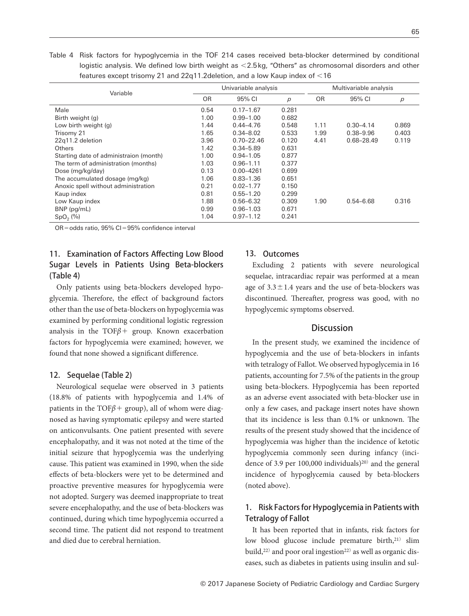Table 4 Risk factors for hypoglycemia in the TOF 214 cases received beta-blocker determined by conditional logistic analysis. We defined low birth weight as <2.5 kg, "Others" as chromosomal disorders and other features except trisomy 21 and 22q11.2deletion, and a low Kaup index of <16

| Variable                               |           | Univariable analysis |                | Multivariable analysis |               |                |
|----------------------------------------|-----------|----------------------|----------------|------------------------|---------------|----------------|
|                                        | <b>OR</b> | 95% CI               | $\overline{p}$ | <b>OR</b>              | 95% CI        | $\overline{p}$ |
| Male                                   | 0.54      | $0.17 - 1.67$        | 0.281          |                        |               |                |
| Birth weight (g)                       | 1.00      | $0.99 - 1.00$        | 0.682          |                        |               |                |
| Low birth weight (g)                   | 1.44      | $0.44 - 4.76$        | 0.548          | 1.11                   | $0.30 - 4.14$ | 0.869          |
| Trisomy 21                             | 1.65      | $0.34 - 8.02$        | 0.533          | 1.99                   | $0.38 - 9.96$ | 0.403          |
| 22q11.2 deletion                       | 3.96      | $0.70 - 22.46$       | 0.120          | 4.41                   | 0.68-28.49    | 0.119          |
| Others                                 | 1.42      | $0.34 - 5.89$        | 0.631          |                        |               |                |
| Starting date of administraion (month) | 1.00      | $0.94 - 1.05$        | 0.877          |                        |               |                |
| The term of administration (months)    | 1.03      | $0.96 - 1.11$        | 0.377          |                        |               |                |
| Dose (mg/kg/day)                       | 0.13      | $0.00 - 4261$        | 0.699          |                        |               |                |
| The accumulated dosage (mg/kg)         | 1.06      | $0.83 - 1.36$        | 0.651          |                        |               |                |
| Anoxic spell without administration    | 0.21      | $0.02 - 1.77$        | 0.150          |                        |               |                |
| Kaup index                             | 0.81      | $0.55 - 1.20$        | 0.299          |                        |               |                |
| Low Kaup index                         | 1.88      | $0.56 - 6.32$        | 0.309          | 1.90                   | $0.54 - 6.68$ | 0.316          |
| BNP (pg/mL)                            | 0.99      | $0.96 - 1.03$        | 0.671          |                        |               |                |
| $SpO2(\%)$                             | 1.04      | $0.97 - 1.12$        | 0.241          |                        |               |                |

OR=odds ratio, 95% CI=95% confidence interval

# 11. Examination of Factors Affecting Low Blood Sugar Levels in Patients Using Beta-blockers (Table 4)

Only patients using beta-blockers developed hypoglycemia. Therefore, the effect of background factors other than the use of beta-blockers on hypoglycemia was examined by performing conditional logistic regression analysis in the TOF*β*+ group. Known exacerbation factors for hypoglycemia were examined; however, we found that none showed a significant difference.

#### 12. Sequelae (Table 2)

Neurological sequelae were observed in 3 patients (18.8% of patients with hypoglycemia and 1.4% of patients in the TOF $\beta$ + group), all of whom were diagnosed as having symptomatic epilepsy and were started on anticonvulsants. One patient presented with severe encephalopathy, and it was not noted at the time of the initial seizure that hypoglycemia was the underlying cause. This patient was examined in 1990, when the side effects of beta-blockers were yet to be determined and proactive preventive measures for hypoglycemia were not adopted. Surgery was deemed inappropriate to treat severe encephalopathy, and the use of beta-blockers was continued, during which time hypoglycemia occurred a second time. The patient did not respond to treatment and died due to cerebral herniation.

### 13. Outcomes

Excluding 2 patients with severe neurological sequelae, intracardiac repair was performed at a mean age of  $3.3 \pm 1.4$  years and the use of beta-blockers was discontinued. Thereafter, progress was good, with no hypoglycemic symptoms observed.

#### **Discussion**

In the present study, we examined the incidence of hypoglycemia and the use of beta-blockers in infants with tetralogy of Fallot. We observed hypoglycemia in 16 patients, accounting for 7.5% of the patients in the group using beta-blockers. Hypoglycemia has been reported as an adverse event associated with beta-blocker use in only a few cases, and package insert notes have shown that its incidence is less than 0.1% or unknown. The results of the present study showed that the incidence of hypoglycemia was higher than the incidence of ketotic hypoglycemia commonly seen during infancy (incidence of 3.9 per 100,000 individuals)<sup>20)</sup> and the general incidence of hypoglycemia caused by beta-blockers (noted above).

# 1. Risk Factors for Hypoglycemia in Patients with Tetralogy of Fallot

It has been reported that in infants, risk factors for low blood glucose include premature birth,<sup>21)</sup> slim build,<sup>22)</sup> and poor oral ingestion<sup>22)</sup> as well as organic diseases, such as diabetes in patients using insulin and sul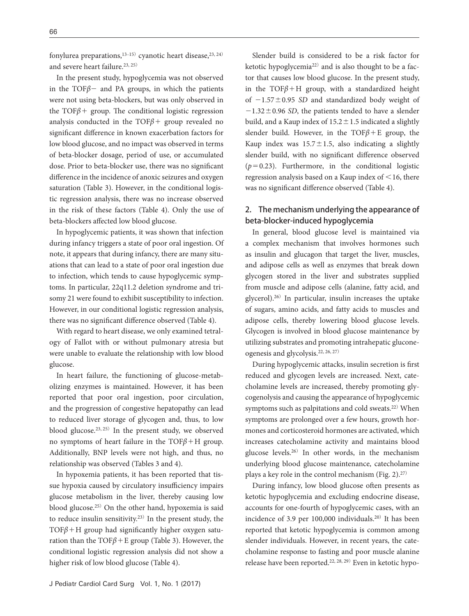fonylurea preparations,  $13-15$ ) cyanotic heart disease,  $23, 24$ ) and severe heart failure.<sup>23, 25)</sup>

In the present study, hypoglycemia was not observed in the TOF*β*− and PA groups, in which the patients were not using beta-blockers, but was only observed in the TOF*β*+ group. The conditional logistic regression analysis conducted in the TOF*β*+ group revealed no significant difference in known exacerbation factors for low blood glucose, and no impact was observed in terms of beta-blocker dosage, period of use, or accumulated dose. Prior to beta-blocker use, there was no significant difference in the incidence of anoxic seizures and oxygen saturation (Table 3). However, in the conditional logistic regression analysis, there was no increase observed in the risk of these factors (Table 4). Only the use of beta-blockers affected low blood glucose.

In hypoglycemic patients, it was shown that infection during infancy triggers a state of poor oral ingestion. Of note, it appears that during infancy, there are many situations that can lead to a state of poor oral ingestion due to infection, which tends to cause hypoglycemic symptoms. In particular, 22q11.2 deletion syndrome and trisomy 21 were found to exhibit susceptibility to infection. However, in our conditional logistic regression analysis, there was no significant difference observed (Table 4).

With regard to heart disease, we only examined tetralogy of Fallot with or without pulmonary atresia but were unable to evaluate the relationship with low blood glucose.

In heart failure, the functioning of glucose-metabolizing enzymes is maintained. However, it has been reported that poor oral ingestion, poor circulation, and the progression of congestive hepatopathy can lead to reduced liver storage of glycogen and, thus, to low blood glucose.23, 25) In the present study, we observed no symptoms of heart failure in the TOF*β*+H group. Additionally, BNP levels were not high, and thus, no relationship was observed (Tables 3 and 4).

In hypoxemia patients, it has been reported that tissue hypoxia caused by circulatory insufficiency impairs glucose metabolism in the liver, thereby causing low blood glucose.25) On the other hand, hypoxemia is said to reduce insulin sensitivity.23) In the present study, the TOF*β*+H group had significantly higher oxygen saturation than the TOF*β*+E group (Table 3). However, the conditional logistic regression analysis did not show a higher risk of low blood glucose (Table 4).

Slender build is considered to be a risk factor for ketotic hypoglycemia22) and is also thought to be a factor that causes low blood glucose. In the present study, in the TOF $\beta$ +H group, with a standardized height of −1.57±0.95 *SD* and standardized body weight of −1.32±0.96 *SD*, the patients tended to have a slender build, and a Kaup index of  $15.2 \pm 1.5$  indicated a slightly slender build. However, in the  $TOF\beta + E$  group, the Kaup index was  $15.7 \pm 1.5$ , also indicating a slightly slender build, with no significant difference observed  $(p=0.23)$ . Furthermore, in the conditional logistic regression analysis based on a Kaup index of <16, there was no significant difference observed (Table 4).

# 2. The mechanism underlying the appearance of beta-blocker-induced hypoglycemia

In general, blood glucose level is maintained via a complex mechanism that involves hormones such as insulin and glucagon that target the liver, muscles, and adipose cells as well as enzymes that break down glycogen stored in the liver and substrates supplied from muscle and adipose cells (alanine, fatty acid, and glycerol).26) In particular, insulin increases the uptake of sugars, amino acids, and fatty acids to muscles and adipose cells, thereby lowering blood glucose levels. Glycogen is involved in blood glucose maintenance by utilizing substrates and promoting intrahepatic gluconeogenesis and glycolysis.22, 26, 27)

During hypoglycemic attacks, insulin secretion is first reduced and glycogen levels are increased. Next, catecholamine levels are increased, thereby promoting glycogenolysis and causing the appearance of hypoglycemic symptoms such as palpitations and cold sweats.<sup>22)</sup> When symptoms are prolonged over a few hours, growth hormones and corticosteroid hormones are activated, which increases catecholamine activity and maintains blood glucose levels.26) In other words, in the mechanism underlying blood glucose maintenance, catecholamine plays a key role in the control mechanism (Fig.  $2$ ).<sup>27)</sup>

During infancy, low blood glucose often presents as ketotic hypoglycemia and excluding endocrine disease, accounts for one-fourth of hypoglycemic cases, with an incidence of 3.9 per 100,000 individuals.20) It has been reported that ketotic hypoglycemia is common among slender individuals. However, in recent years, the catecholamine response to fasting and poor muscle alanine release have been reported.22, 28, 29) Even in ketotic hypo-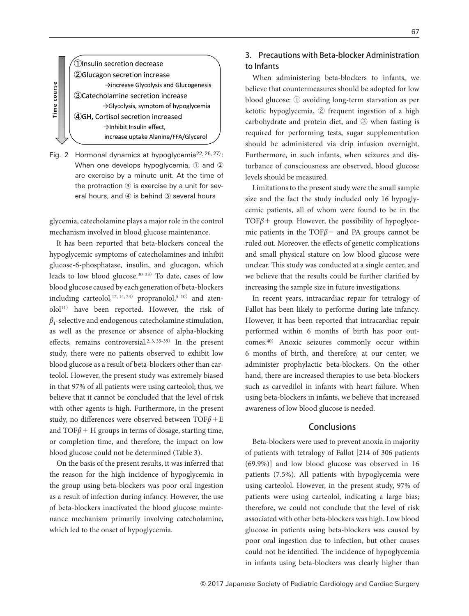*OInsulin secretion decrease* 2Glucagon secretion increase  $\rightarrow$  increase Glycolysis and Glucogenesis 3)Catecholamine secretion increase → Glycolysis, symptom of hypoglycemia 4GH, Cortisol secretion increased >Inhibit Insulin effect, increase uptake Alanine/FFA/Glycerol

Time course

Fig. 2 Hormonal dynamics at hypoglycemia<sup>22, 26, 27)</sup>: When one develops hypoglycemia, ① and ② are exercise by a minute unit. At the time of the protraction ③ is exercise by a unit for several hours, and ④ is behind ③ several hours

glycemia, catecholamine plays a major role in the control mechanism involved in blood glucose maintenance.

It has been reported that beta-blockers conceal the hypoglycemic symptoms of catecholamines and inhibit glucose-6-phosphatase, insulin, and glucagon, which leads to low blood glucose. $30-33$  To date, cases of low blood glucose caused by each generation of beta-blockers including carteolol,<sup>12, 14, 24)</sup> propranolol,<sup>5-10)</sup> and atenolol11) have been reported. However, the risk of *β*1-selective and endogenous catecholamine stimulation, as well as the presence or absence of alpha-blocking effects, remains controversial.<sup>2, 3, 35-39)</sup> In the present study, there were no patients observed to exhibit low blood glucose as a result of beta-blockers other than carteolol. However, the present study was extremely biased in that 97% of all patients were using carteolol; thus, we believe that it cannot be concluded that the level of risk with other agents is high. Furthermore, in the present study, no differences were observed between TOF*β*+E and  $TOF\beta + H$  groups in terms of dosage, starting time, or completion time, and therefore, the impact on low blood glucose could not be determined (Table 3).

On the basis of the present results, it was inferred that the reason for the high incidence of hypoglycemia in the group using beta-blockers was poor oral ingestion as a result of infection during infancy. However, the use of beta-blockers inactivated the blood glucose maintenance mechanism primarily involving catecholamine, which led to the onset of hypoglycemia.

# 3. Precautions with Beta-blocker Administration to Infants

When administering beta-blockers to infants, we believe that countermeasures should be adopted for low blood glucose: ① avoiding long-term starvation as per ketotic hypoglycemia, ② frequent ingestion of a high carbohydrate and protein diet, and ③ when fasting is required for performing tests, sugar supplementation should be administered via drip infusion overnight. Furthermore, in such infants, when seizures and disturbance of consciousness are observed, blood glucose levels should be measured.

Limitations to the present study were the small sample size and the fact the study included only 16 hypoglycemic patients, all of whom were found to be in the TOF*β*+ group. However, the possibility of hypoglycemic patients in the TOF*β*− and PA groups cannot be ruled out. Moreover, the effects of genetic complications and small physical stature on low blood glucose were unclear. This study was conducted at a single center, and we believe that the results could be further clarified by increasing the sample size in future investigations.

In recent years, intracardiac repair for tetralogy of Fallot has been likely to performe during late infancy. However, it has been reported that intracardiac repair performed within 6 months of birth has poor outcomes.40) Anoxic seizures commonly occur within 6 months of birth, and therefore, at our center, we administer prophylactic beta-blockers. On the other hand, there are increased therapies to use beta-blockers such as carvedilol in infants with heart failure. When using beta-blockers in infants, we believe that increased awareness of low blood glucose is needed.

#### **Conclusions**

Beta-blockers were used to prevent anoxia in majority of patients with tetralogy of Fallot [214 of 306 patients (69.9%)] and low blood glucose was observed in 16 patients (7.5%). All patients with hypoglycemia were using carteolol. However, in the present study, 97% of patients were using carteolol, indicating a large bias; therefore, we could not conclude that the level of risk associated with other beta-blockers was high. Low blood glucose in patients using beta-blockers was caused by poor oral ingestion due to infection, but other causes could not be identified. The incidence of hypoglycemia in infants using beta-blockers was clearly higher than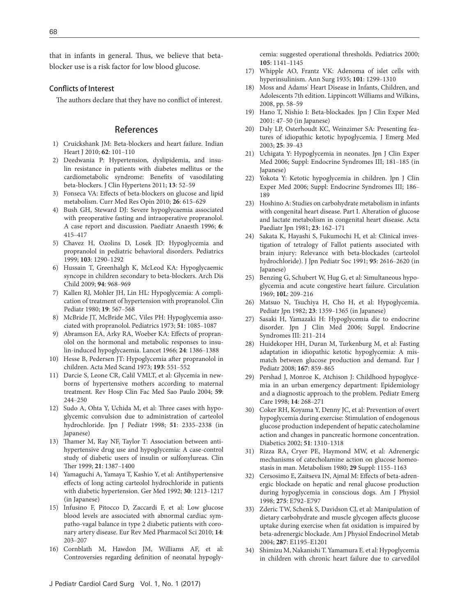that in infants in general. Thus, we believe that betablocker use is a risk factor for low blood glucose.

#### Conflicts of Interest

The authors declare that they have no conflict of interest.

#### References

- 1) Cruickshank JM: Beta-blockers and heart failure. Indian Heart J 2010; **62**: 101‒110
- [2\) Deedwania P: Hypertension, dyslipidemia, and insu](http://dx.doi.org/10.1111/j.1751-7176.2010.00386.x)[lin resistance in patients with diabetes mellitus or the](http://dx.doi.org/10.1111/j.1751-7176.2010.00386.x)  [cardiometabolic syndrome: Benefits of vasodilating](http://dx.doi.org/10.1111/j.1751-7176.2010.00386.x)  [beta-blockers. J Clin Hypertens 2011;](http://dx.doi.org/10.1111/j.1751-7176.2010.00386.x) **13**: 52‒59
- [3\) Fonseca VA: Effects of beta-blockers on glucose and lipid](http://dx.doi.org/10.1185/03007990903533681)  [metabolism. Curr Med Res Opin 2010;](http://dx.doi.org/10.1185/03007990903533681) **26**: 615‒629
- [4\) Bush GH, Steward DJ: Severe hypoglycaemia associated](http://dx.doi.org/10.1046/j.1460-9592.1996.d01-5.x)  [with preoperative fasting and intraoperative propranolol.](http://dx.doi.org/10.1046/j.1460-9592.1996.d01-5.x)  [A case report and discussion. Paediatr Anaesth 1996;](http://dx.doi.org/10.1046/j.1460-9592.1996.d01-5.x) **6**: [415](http://dx.doi.org/10.1046/j.1460-9592.1996.d01-5.x)‒417
- [5\) Chavez H, Ozolins D, Losek JD: Hypoglycemia and](http://dx.doi.org/10.1542/peds.103.6.1290)  [propranolol in pediatric behavioral disorders. Pediatrics](http://dx.doi.org/10.1542/peds.103.6.1290)  [1999;](http://dx.doi.org/10.1542/peds.103.6.1290) **103**: 1290‒1292
- [6\) Hussain T, Greenhalgh K, McLeod KA: Hypoglycaemic](http://dx.doi.org/10.1136/adc.2008.145052)  [syncope in children secondary to beta-blockers. Arch Dis](http://dx.doi.org/10.1136/adc.2008.145052)  [Child 2009;](http://dx.doi.org/10.1136/adc.2008.145052) **94**: 968‒969
- [7\) Kallen RJ, Mohler JH, Lin HL: Hypoglycemia: A compli](http://dx.doi.org/10.1177/000992288001900814)[cation of treatment of hypertension with propranolol. Clin](http://dx.doi.org/10.1177/000992288001900814)  [Pediatr 1980;](http://dx.doi.org/10.1177/000992288001900814) **19**: 567‒568
- 8) McBride JT, McBride MC, Viles PH: Hypoglycemia associated with propranolol. Pediatrics 1973; 51: 1085-1087
- [9\) Abramson EA, Arky RA, Woeber KA: Effects of propran](http://dx.doi.org/10.1016/S0140-6736(66)90422-3)[olol on the hormonal and metabolic responses to insu](http://dx.doi.org/10.1016/S0140-6736(66)90422-3)[lin-induced hypoglycaemia. Lancet 1966;](http://dx.doi.org/10.1016/S0140-6736(66)90422-3) **24**: 1386‒1388
- [10\) Hesse B, Pedersen JT: Hypoglycemia after propranolol in](http://dx.doi.org/10.1111/j.0954-6820.1973.tb10625.x)  [children. Acta Med Scand 1973;](http://dx.doi.org/10.1111/j.0954-6820.1973.tb10625.x) **193**: 551‒552
- [11\) Darcie S, Leone CR, Calil VMLT, et al: Glycemia in new](http://dx.doi.org/10.1590/S0041-87812004000500004)[borns of hypertensive mothers according to maternal](http://dx.doi.org/10.1590/S0041-87812004000500004)  [treatment. Rev Hosp Clin Fac Med Sao Paulo 2004;](http://dx.doi.org/10.1590/S0041-87812004000500004) **59**: [244](http://dx.doi.org/10.1590/S0041-87812004000500004)‒250
- 12) Sudo A, Ohta Y, Uchida M, et al: Three cases with hypoglycemic convulsion due to administration of carteolol hydrochloride. Jpn J Pediatr 1998; **51**: 2335‒2338 (in Japanese)
- [13\) Thamer M, Ray NF, Taylor T: Association between anti](http://dx.doi.org/10.1016/S0149-2918(99)80039-3)[hypertensive drug use and hypoglycemia: A case-control](http://dx.doi.org/10.1016/S0149-2918(99)80039-3)  [study of diabetic users of insulin or sulfonylureas. Clin](http://dx.doi.org/10.1016/S0149-2918(99)80039-3)  [Ther 1999;](http://dx.doi.org/10.1016/S0149-2918(99)80039-3) **21**: 1387‒1400
- 14) Yamaguchi A, Yamaya T, Kashio Y, et al: Antihypertensive effects of long acting carteolol hydrochloride in patients with diabetic hypertension. Ger Med 1992; 30: 1213-1217 (in Japanese)
- 15) Infusino F, Pitocco D, Zaccardi F, et al: Low glucose blood levels are associated with abnormal cardiac sympatho-vagal balance in type 2 diabetic patients with coronary artery disease. Eur Rev Med Pharmacol Sci 2010; **14**: 203‒207
- [16\) Cornblath M, Hawdon JM, Williams AF, et al:](http://dx.doi.org/10.1542/peds.105.5.1141)  [Controversies regarding definition of neonatal hypogly-](http://dx.doi.org/10.1542/peds.105.5.1141)

[cemia: suggested operational thresholds. Pediatrics 2000;](http://dx.doi.org/10.1542/peds.105.5.1141)  **105**[: 1141](http://dx.doi.org/10.1542/peds.105.5.1141)‒1145

- [17\) Whipple AO, Frantz VK: Adenoma of islet cells with](http://dx.doi.org/10.1097/00000658-193506000-00001)  [hyperinsulinism. Ann Surg 1935;](http://dx.doi.org/10.1097/00000658-193506000-00001) **101**: 1299‒1310
- 18) Moss and Adams' Heart Disease in Infants, Children, and Adolescents 7th edition. Lippincott Williams and Wilkins, 2008, pp. 58-59
- 19) Hano T, Nishio I: Beta-blockades. Jpn J Clin Exper Med 2001: 47‒50 (in Japanese)
- [20\) Daly LP, Osterhoudt KC, Weinzimer SA: Presenting fea](http://dx.doi.org/10.1016/S0736-4679(03)00100-8)[tures of idiopathic ketotic hypoglycemia. J Emerg Med](http://dx.doi.org/10.1016/S0736-4679(03)00100-8)  [2003;](http://dx.doi.org/10.1016/S0736-4679(03)00100-8) **25**: 39‒43
- 21) Uchigata Y: Hypoglycemia in neonates. Jpn J Clin Exper Med 2006; Suppl: Endocrine Syndromes III; 181-185 (in Japanese)
- 22) Yokota Y: Ketotic hypoglycemia in children. Jpn J Clin Exper Med 2006; Suppl: Endocrine Syndromes III; 186-189
- [23\) Hoshino A: Studies on carbohydrate metabolism in infants](http://dx.doi.org/10.1111/j.1442-200X.1981.tb00401.x)  [with congenital heart disease. Part I. Alteration of glucose](http://dx.doi.org/10.1111/j.1442-200X.1981.tb00401.x)  [and lactate metabolism in congenital heart disease. Acta](http://dx.doi.org/10.1111/j.1442-200X.1981.tb00401.x)  [Paediatr Jpn 1981;](http://dx.doi.org/10.1111/j.1442-200X.1981.tb00401.x) **23**: 162‒171
- 24) Sakata K, Hayashi S, Fukumochi H, et al: Clinical investigation of tetralogy of Fallot patients associated with brain injury: Relevance with beta-blockades (carteolol hydrochloride). J Jpn Pediatr Soc 1991; **95**: 2616‒2620 (in Japanese)
- [25\) Benzing G, Schubert W, Hug G, et al: Simultaneous hypo](http://dx.doi.org/10.1161/01.CIR.40.2.209)[glycemia and acute congestive heart failure. Circulation](http://dx.doi.org/10.1161/01.CIR.40.2.209)  [1969;](http://dx.doi.org/10.1161/01.CIR.40.2.209) **10L**: 209‒216
- 26) Matsuo N, Tsuchiya H, Cho H, et al: Hypoglycemia. Pediatr Jpn 1982; **23**: 1359‒1365 (in Japanese)
- 27) Sasaki H, Yamazaki H: Hypoglycemia die to endocrine disorder. Jpn J Clin Med 2006; Suppl. Endocrine Syndromes III: 211-214
- [28\) Huidekoper HH, Duran M, Turkenburg M, et al: Fasting](http://dx.doi.org/10.1007/s00431-007-0598-5)  [adaptation in idiopathic ketotic hypoglycemia: A mis](http://dx.doi.org/10.1007/s00431-007-0598-5)[match between glucose production and demand. Eur J](http://dx.doi.org/10.1007/s00431-007-0598-5)  [Pediatr 2008;](http://dx.doi.org/10.1007/s00431-007-0598-5) **167**: 859‒865
- [29\) Pershad J, Monroe K, Atchison J: Childhood hypoglyce](http://dx.doi.org/10.1097/00006565-199808000-00006)[mia in an urban emergency department: Epidemiology](http://dx.doi.org/10.1097/00006565-199808000-00006)  [and a diagnostic approach to the problem. Pediatr Emerg](http://dx.doi.org/10.1097/00006565-199808000-00006)  [Care 1998;](http://dx.doi.org/10.1097/00006565-199808000-00006) **14**: 268‒271
- 30) Coker RH, Koyama Y, Denny JC, et al: Prevention of overt hypoglycemia during exercise: Stimulation of endogenous glucose production independent of hepatic catecholamine action and changes in pancreatic hormone concentration. Diabetics 2002; **51**: 1310‒1318
- [31\) Rizza RA, Cryer PE, Haymond MW, et al: Adrenergic](http://dx.doi.org/10.1016/0026-0495(80)90025-6)  [mechanisms of catecholamine action on glucose homeo](http://dx.doi.org/10.1016/0026-0495(80)90025-6)[stasis in man. Metabolism 1980;](http://dx.doi.org/10.1016/0026-0495(80)90025-6) **29** Suppl: 1155‒1163
- 32) Cersosimo E, Zaitseva IN, Ajmal M: Effects of beta-adrenergic blockade on hepatic and renal glucose production during hypoglycemia in conscious dogs. Am J Physiol 1998; **275**: E792‒E797
- [33\) Zderic TW, Schenk S, Davidson CJ, et al: Manipulation of](http://dx.doi.org/10.1152/ajpendo.00302.2004)  [dietary carbohydrate and muscle glycogen affects glucose](http://dx.doi.org/10.1152/ajpendo.00302.2004)  [uptake during exercise when fat oxidation is impaired by](http://dx.doi.org/10.1152/ajpendo.00302.2004)  [beta-adrenergic blockade. Am J Physiol Endocrinol Metab](http://dx.doi.org/10.1152/ajpendo.00302.2004)  2004; **287**[: E1195](http://dx.doi.org/10.1152/ajpendo.00302.2004)‒E1201
- 34) Shimizu M, Nakanishi T. Yamamura E. et al: Hypoglycemia in children with chronic heart failure due to carvedilol